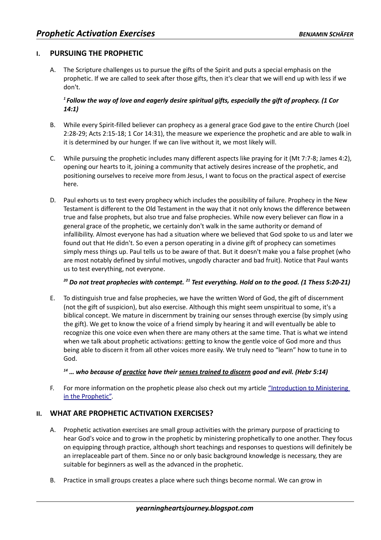## **I. PURSUING THE PROPHETIC**

A. The Scripture challenges us to pursue the gifts of the Spirit and puts a special emphasis on the prophetic. If we are called to seek after those gifts, then it's clear that we will end up with less if we don't.

#### *<sup>1</sup>Follow the way of love and eagerly desire spiritual gifts, especially the gift of prophecy. (1 Cor 14:1)*

- B. While every Spirit-filled believer can prophecy as a general grace God gave to the entire Church (Joel 2:28-29; Acts 2:15-18; 1 Cor 14:31), the measure we experience the prophetic and are able to walk in it is determined by our hunger. If we can live without it, we most likely will.
- C. While pursuing the prophetic includes many different aspects like praying for it (Mt 7:7-8; James 4:2), opening our hearts to it, joining a community that actively desires increase of the prophetic, and positioning ourselves to receive more from Jesus, I want to focus on the practical aspect of exercise here.
- D. Paul exhorts us to test every prophecy which includes the possibility of failure. Prophecy in the New Testament is different to the Old Testament in the way that it not only knows the difference between true and false prophets, but also true and false prophecies. While now every believer can flow in a general grace of the prophetic, we certainly don't walk in the same authority or demand of infallibility. Almost everyone has had a situation where we believed that God spoke to us and later we found out that He didn't. So even a person operating in a divine gift of prophecy can sometimes simply mess things up. Paul tells us to be aware of that. But it doesn't make you a false prophet (who are most notably defined by sinful motives, ungodly character and bad fruit). Notice that Paul wants us to test everything, not everyone.

### *<sup>20</sup> Do not treat prophecies with contempt. <sup>21</sup> Test everything. Hold on to the good. (1 Thess 5:20-21)*

E. To distinguish true and false prophecies, we have the written Word of God, the gift of discernment (not the gift of suspicion), but also exercise. Although this might seem unspiritual to some, it's a biblical concept. We mature in discernment by training our senses through exercise (by simply using the gift). We get to know the voice of a friend simply by hearing it and will eventually be able to recognize this one voice even when there are many others at the same time. That is what we intend when we talk about prophetic activations: getting to know the gentle voice of God more and thus being able to discern it from all other voices more easily. We truly need to "learn" how to tune in to God.

### *<sup>14</sup> … who because of practice have their senses trained to discern good and evil. (Hebr 5:14)*

F. For more information on the prophetic please also check out my article "Introduction to Ministering [in the Prophetic".](http://yearningheartsjourney.blogspot.com/2011/05/introduction-to-ministering-in.html)

# **II. WHAT ARE PROPHETIC ACTIVATION EXERCISES?**

- A. Prophetic activation exercises are small group activities with the primary purpose of practicing to hear God's voice and to grow in the prophetic by ministering prophetically to one another. They focus on equipping through practice, although short teachings and responses to questions will definitely be an irreplaceable part of them. Since no or only basic background knowledge is necessary, they are suitable for beginners as well as the advanced in the prophetic.
- B. Practice in small groups creates a place where such things become normal. We can grow in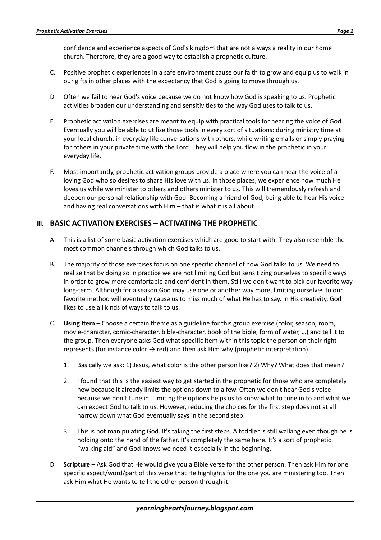confidence and experience aspects of God's kingdom that are not always a reality in our home church. Therefore, they are a good way to establish a prophetic culture.

- C. Positive prophetic experiences in a safe environment cause our faith to grow and equip us to walk in our gifts in other places with the expectancy that God is going to move through us.
- D. Often we fail to hear God's voice because we do not know how God is speaking to us. Prophetic activities broaden our understanding and sensitivities to the way God uses to talk to us.
- E. Prophetic activation exercises are meant to equip with practical tools for hearing the voice of God. Eventually you will be able to utilize those tools in every sort of situations: during ministry time at your local church, in everyday life conversations with others, while writing emails or simply praying for others in your private time with the Lord. They will help you flow in the prophetic in your everyday life.
- F. Most importantly, prophetic activation groups provide a place where you can hear the voice of a loving God who so desires to share His love with us. In those places, we experience how much He loves us while we minister to others and others minister to us. This will tremendously refresh and deepen our personal relationship with God. Becoming a friend of God, being able to hear His voice and having real conversations with Him – that is what it is all about.

#### **III. BASIC ACTIVATION EXERCISES – ACTIVATING THE PROPHETIC**

- A. This is a list of some basic activation exercises which are good to start with. They also resemble the most common channels through which God talks to us.
- B. The majority of those exercises focus on one specific channel of how God talks to us. We need to realize that by doing so in practice we are not limiting God but sensitizing ourselves to specific ways in order to grow more comfortable and confident in them. Still we don't want to pick our favorite way long-term. Although for a season God may use one or another way more, limiting ourselves to our favorite method will eventually cause us to miss much of what He has to say. In His creativity, God likes to use all kinds of ways to talk to us.
- C. **Using Item** Choose a certain theme as a guideline for this group exercise (color, season, room, movie-character, comic-character, bible-character, book of the bible, form of water, …) and tell it to the group. Then everyone asks God what specific item within this topic the person on their right represents (for instance color  $\rightarrow$  red) and then ask Him why (prophetic interpretation).
	- 1. Basically we ask: 1) Jesus, what color is the other person like? 2) Why? What does that mean?
	- 2. I found that this is the easiest way to get started in the prophetic for those who are completely new because it already limits the options down to a few. Often we don't hear God's voice because we don't tune in. Limiting the options helps us to know what to tune in to and what we can expect God to talk to us. However, reducing the choices for the first step does not at all narrow down what God eventually says in the second step.
	- 3. This is not manipulating God. It's taking the first steps. A toddler is still walking even though he is holding onto the hand of the father. It's completely the same here. It's a sort of prophetic "walking aid" and God knows we need it especially in the beginning.
- D. **Scripture** Ask God that He would give you a Bible verse for the other person. Then ask Him for one specific aspect/word/part of this verse that He highlights for the one you are ministering too. Then ask Him what He wants to tell the other person through it.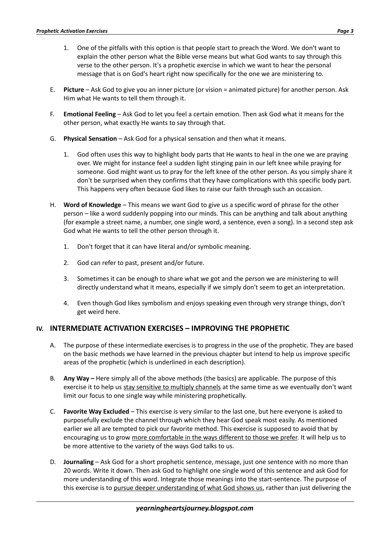- 1. One of the pitfalls with this option is that people start to preach the Word. We don't want to explain the other person what the Bible verse means but what God wants to say through this verse to the other person. It's a prophetic exercise in which we want to hear the personal message that is on God's heart right now specifically for the one we are ministering to.
- E. **Picture** Ask God to give you an inner picture (or vision = animated picture) for another person. Ask Him what He wants to tell them through it.
- F. **Emotional Feeling** Ask God to let you feel a certain emotion. Then ask God what it means for the other person, what exactly He wants to say through that.
- G. **Physical Sensation** Ask God for a physical sensation and then what it means.
	- 1. God often uses this way to highlight body parts that He wants to heal in the one we are praying over. We might for instance feel a sudden light stinging pain in our left knee while praying for someone. God might want us to pray for the left knee of the other person. As you simply share it don't be surprised when they confirms that they have complications with this specific body part. This happens very often because God likes to raise our faith through such an occasion.
- H. **Word of Knowledge** This means we want God to give us a specific word of phrase for the other person – like a word suddenly popping into our minds. This can be anything and talk about anything (for example a street name, a number, one single word, a sentence, even a song). In a second step ask God what He wants to tell the other person through it.
	- 1. Don't forget that it can have literal and/or symbolic meaning.
	- 2. God can refer to past, present and/or future.
	- 3. Sometimes it can be enough to share what we got and the person we are ministering to will directly understand what it means, especially if we simply don't seem to get an interpretation.
	- 4. Even though God likes symbolism and enjoys speaking even through very strange things, don't get weird here.

# **IV. INTERMEDIATE ACTIVATION EXERCISES – IMPROVING THE PROPHETIC**

- A. The purpose of these intermediate exercises is to progress in the use of the prophetic. They are based on the basic methods we have learned in the previous chapter but intend to help us improve specific areas of the prophetic (which is underlined in each description).
- B. **Any Way** Here simply all of the above methods (the basics) are applicable. The purpose of this exercise it to help us stay sensitive to multiply channels at the same time as we eventually don't want limit our focus to one single way while ministering prophetically.
- C. **Favorite Way Excluded** This exercise is very similar to the last one, but here everyone is asked to purposefully exclude the channel through which they hear God speak most easily. As mentioned earlier we all are tempted to pick our favorite method. This exercise is supposed to avoid that by encouraging us to grow more comfortable in the ways different to those we prefer. It will help us to be more attentive to the variety of the ways God talks to us.
- D. **Journaling** Ask God for a short prophetic sentence, message, just one sentence with no more than 20 words. Write it down. Then ask God to highlight one single word of this sentence and ask God for more understanding of this word. Integrate those meanings into the start-sentence. The purpose of this exercise is to pursue deeper understanding of what God shows us, rather than just delivering the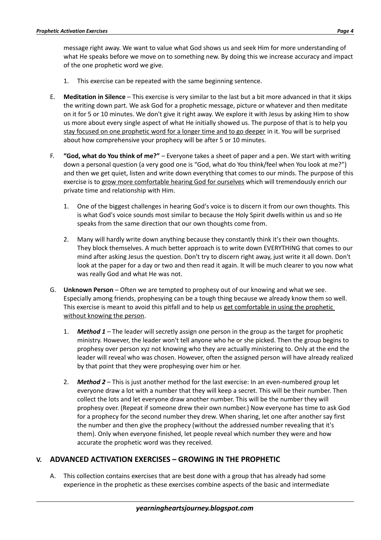message right away. We want to value what God shows us and seek Him for more understanding of what He speaks before we move on to something new. By doing this we increase accuracy and impact of the one prophetic word we give.

- 1. This exercise can be repeated with the same beginning sentence.
- E. **Meditation in Silence** This exercise is very similar to the last but a bit more advanced in that it skips the writing down part. We ask God for a prophetic message, picture or whatever and then meditate on it for 5 or 10 minutes. We don't give it right away. We explore it with Jesus by asking Him to show us more about every single aspect of what He initially showed us. The purpose of that is to help you stay focused on one prophetic word for a longer time and to go deeper in it. You will be surprised about how comprehensive your prophecy will be after 5 or 10 minutes.
- F. **"God, what do You think of me?"** Everyone takes a sheet of paper and a pen. We start with writing down a personal question (a very good one is "God, what do You think/feel when You look at me?") and then we get quiet, listen and write down everything that comes to our minds. The purpose of this exercise is to grow more comfortable hearing God for ourselves which will tremendously enrich our private time and relationship with Him.
	- 1. One of the biggest challenges in hearing God's voice is to discern it from our own thoughts. This is what God's voice sounds most similar to because the Holy Spirit dwells within us and so He speaks from the same direction that our own thoughts come from.
	- 2. Many will hardly write down anything because they constantly think it's their own thoughts. They block themselves. A much better approach is to write down EVERYTHING that comes to our mind after asking Jesus the question. Don't try to discern right away, just write it all down. Don't look at the paper for a day or two and then read it again. It will be much clearer to you now what was really God and what He was not.
- G. **Unknown Person** Often we are tempted to prophesy out of our knowing and what we see. Especially among friends, prophesying can be a tough thing because we already know them so well. This exercise is meant to avoid this pitfall and to help us get comfortable in using the prophetic without knowing the person.
	- 1. *Method 1* The leader will secretly assign one person in the group as the target for prophetic ministry. However, the leader won't tell anyone who he or she picked. Then the group begins to prophesy over person xyz not knowing who they are actually ministering to. Only at the end the leader will reveal who was chosen. However, often the assigned person will have already realized by that point that they were prophesying over him or her.
	- 2. *Method 2* This is just another method for the last exercise: In an even-numbered group let everyone draw a lot with a number that they will keep a secret. This will be their number. Then collect the lots and let everyone draw another number. This will be the number they will prophesy over. (Repeat if someone drew their own number.) Now everyone has time to ask God for a prophecy for the second number they drew. When sharing, let one after another say first the number and then give the prophecy (without the addressed number revealing that it's them). Only when everyone finished, let people reveal which number they were and how accurate the prophetic word was they received.

### **V. ADVANCED ACTIVATION EXERCISES – GROWING IN THE PROPHETIC**

A. This collection contains exercises that are best done with a group that has already had some experience in the prophetic as these exercises combine aspects of the basic and intermediate